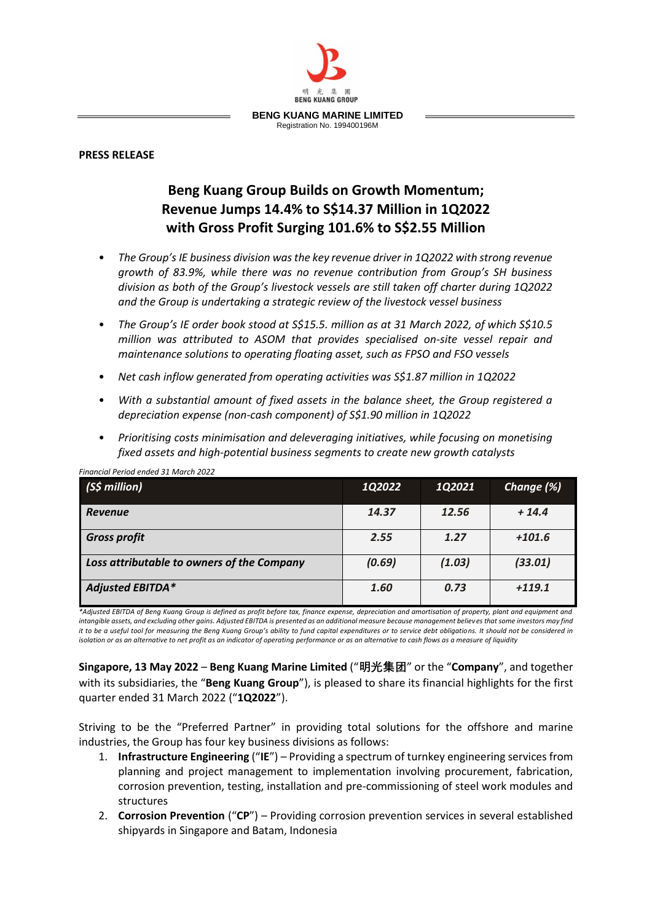

## **PRESS RELEASE**

## **Beng Kuang Group Builds on Growth Momentum; Revenue Jumps 14.4% to S\$14.37 Million in 1Q2022 with Gross Profit Surging 101.6% to S\$2.55 Million**

- *The Group's IE business division was the key revenue driver in 1Q2022 with strong revenue growth of 83.9%, while there was no revenue contribution from Group's SH business division as both of the Group's livestock vessels are still taken off charter during 1Q2022 and the Group is undertaking a strategic review of the livestock vessel business*
- *The Group's IE order book stood at S\$15.5. million as at 31 March 2022, of which S\$10.5 million was attributed to ASOM that provides specialised on-site vessel repair and maintenance solutions to operating floating asset, such as FPSO and FSO vessels*
- *Net cash inflow generated from operating activities was S\$1.87 million in 1Q2022*
- *With a substantial amount of fixed assets in the balance sheet, the Group registered a depreciation expense (non-cash component) of S\$1.90 million in 1Q2022*
- *Prioritising costs minimisation and deleveraging initiatives, while focusing on monetising fixed assets and high-potential business segments to create new growth catalysts*

| $(S$$ million)                             | 1Q2022 | 1Q2021 | Change (%) |
|--------------------------------------------|--------|--------|------------|
| <b>Revenue</b>                             | 14.37  | 12.56  | $+14.4$    |
| <b>Gross profit</b>                        | 2.55   | 1.27   | $+101.6$   |
| Loss attributable to owners of the Company | (0.69) | (1.03) | (33.01)    |
| <b>Adjusted EBITDA*</b>                    | 1.60   | 0.73   | $+119.1$   |

*Financial Period ended 31 March 2022*

*\*Adjusted EBITDA of Beng Kuang Group is defined as profit before tax, finance expense, depreciation and amortisation of property, plant and equipment and intangible assets, and excluding other gains. Adjusted EBITDA is presented as an additional measure because management believes that some investors may find it to be a useful tool for measuring the Beng Kuang Group's ability to fund capital expenditures or to service debt obligations. It should not be considered in isolation or as an alternative to net profit as an indicator of operating performance or as an alternative to cash flows as a measure of liquidity*

**Singapore, 13 May 2022** – **Beng Kuang Marine Limited** ("**明光集团**" or the "**Company**", and together with its subsidiaries, the "**Beng Kuang Group**"), is pleased to share its financial highlights for the first quarter ended 31 March 2022 ("**1Q2022**").

Striving to be the "Preferred Partner" in providing total solutions for the offshore and marine industries, the Group has four key business divisions as follows:

- 1. **Infrastructure Engineering** ("**IE**") Providing a spectrum of turnkey engineering services from planning and project management to implementation involving procurement, fabrication, corrosion prevention, testing, installation and pre-commissioning of steel work modules and structures
- 2. **Corrosion Prevention** ("**CP**") Providing corrosion prevention services in several established shipyards in Singapore and Batam, Indonesia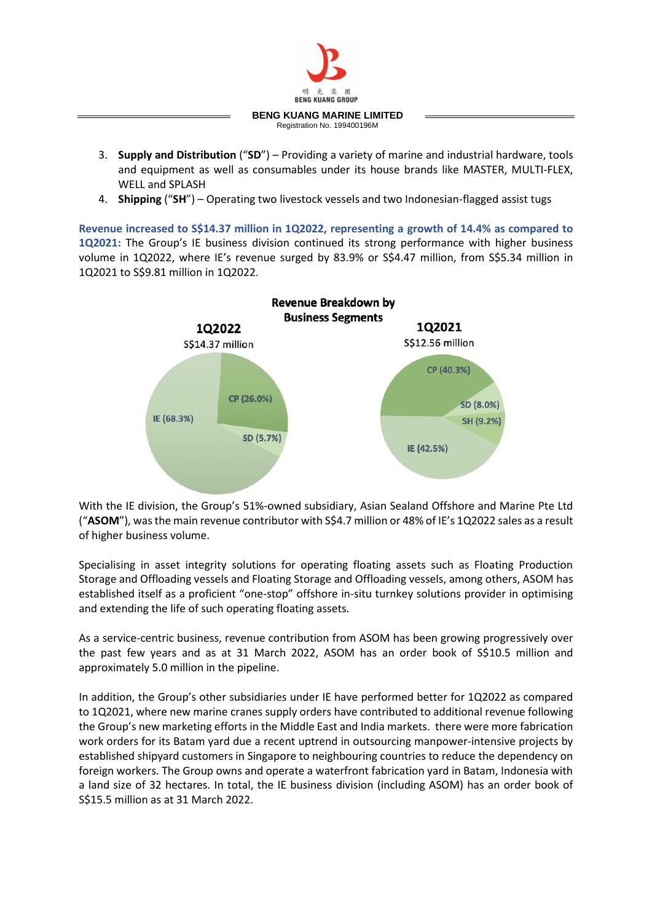

- 3. **Supply and Distribution** ("**SD**") Providing a variety of marine and industrial hardware, tools and equipment as well as consumables under its house brands like MASTER, MULTI-FLEX, WELL and SPLASH
- 4. **Shipping** ("**SH**") Operating two livestock vessels and two Indonesian-flagged assist tugs

**Revenue increased to S\$14.37 million in 1Q2022, representing a growth of 14.4% as compared to 1Q2021:** The Group's IE business division continued its strong performance with higher business volume in 1Q2022, where IE's revenue surged by 83.9% or S\$4.47 million, from S\$5.34 million in 1Q2021 to S\$9.81 million in 1Q2022.



With the IE division, the Group's 51%-owned subsidiary, Asian Sealand Offshore and Marine Pte Ltd ("**ASOM**"), was the main revenue contributor with S\$4.7 million or 48% of IE's 1Q2022 sales as a result of higher business volume.

Specialising in asset integrity solutions for operating floating assets such as Floating Production Storage and Offloading vessels and Floating Storage and Offloading vessels, among others, ASOM has established itself as a proficient "one-stop" offshore in-situ turnkey solutions provider in optimising and extending the life of such operating floating assets.

As a service-centric business, revenue contribution from ASOM has been growing progressively over the past few years and as at 31 March 2022, ASOM has an order book of S\$10.5 million and approximately 5.0 million in the pipeline.

In addition, the Group's other subsidiaries under IE have performed better for 1Q2022 as compared to 1Q2021, where new marine cranes supply orders have contributed to additional revenue following the Group's new marketing efforts in the Middle East and India markets. there were more fabrication work orders for its Batam yard due a recent uptrend in outsourcing manpower-intensive projects by established shipyard customers in Singapore to neighbouring countries to reduce the dependency on foreign workers. The Group owns and operate a waterfront fabrication yard in Batam, Indonesia with a land size of 32 hectares. In total, the IE business division (including ASOM) has an order book of S\$15.5 million as at 31 March 2022.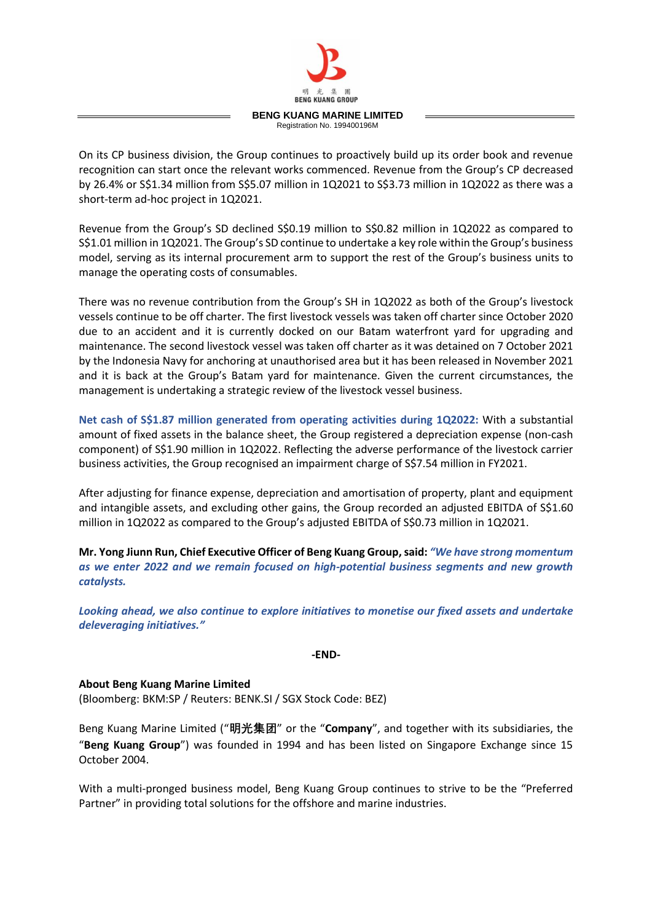

On its CP business division, the Group continues to proactively build up its order book and revenue recognition can start once the relevant works commenced. Revenue from the Group's CP decreased by 26.4% or S\$1.34 million from S\$5.07 million in 1Q2021 to S\$3.73 million in 1Q2022 as there was a short-term ad-hoc project in 1Q2021.

Revenue from the Group's SD declined S\$0.19 million to S\$0.82 million in 1Q2022 as compared to S\$1.01 million in 1Q2021. The Group's SD continue to undertake a key role within the Group's business model, serving as its internal procurement arm to support the rest of the Group's business units to manage the operating costs of consumables.

There was no revenue contribution from the Group's SH in 1Q2022 as both of the Group's livestock vessels continue to be off charter. The first livestock vessels was taken off charter since October 2020 due to an accident and it is currently docked on our Batam waterfront yard for upgrading and maintenance. The second livestock vessel was taken off charter as it was detained on 7 October 2021 by the Indonesia Navy for anchoring at unauthorised area but it has been released in November 2021 and it is back at the Group's Batam yard for maintenance. Given the current circumstances, the management is undertaking a strategic review of the livestock vessel business.

**Net cash of S\$1.87 million generated from operating activities during 1Q2022:** With a substantial amount of fixed assets in the balance sheet, the Group registered a depreciation expense (non-cash component) of S\$1.90 million in 1Q2022. Reflecting the adverse performance of the livestock carrier business activities, the Group recognised an impairment charge of S\$7.54 million in FY2021.

After adjusting for finance expense, depreciation and amortisation of property, plant and equipment and intangible assets, and excluding other gains, the Group recorded an adjusted EBITDA of S\$1.60 million in 1Q2022 as compared to the Group's adjusted EBITDA of S\$0.73 million in 1Q2021.

**Mr. Yong Jiunn Run, Chief Executive Officer of Beng Kuang Group, said:** *"We have strong momentum as we enter 2022 and we remain focused on high-potential business segments and new growth catalysts.* 

*Looking ahead, we also continue to explore initiatives to monetise our fixed assets and undertake deleveraging initiatives."*

**-END-**

**About Beng Kuang Marine Limited**

(Bloomberg: BKM:SP / Reuters: BENK.SI / SGX Stock Code: BEZ)

Beng Kuang Marine Limited ("**明光集团**" or the "**Company**", and together with its subsidiaries, the "**Beng Kuang Group**") was founded in 1994 and has been listed on Singapore Exchange since 15 October 2004.

With a multi-pronged business model, Beng Kuang Group continues to strive to be the "Preferred Partner" in providing total solutions for the offshore and marine industries.